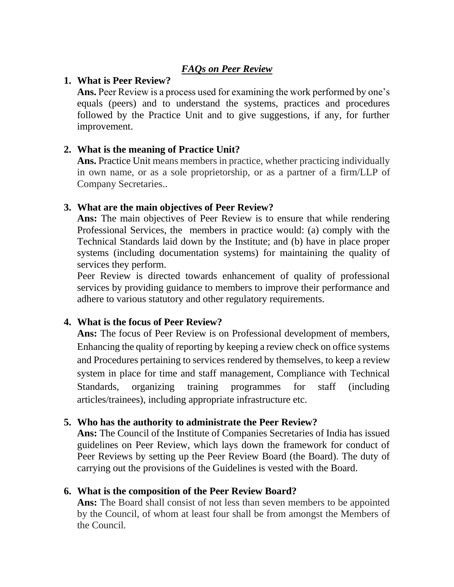# *FAQs on Peer Review*

### **1. What is Peer Review?**

**Ans.** Peer Review is a process used for examining the work performed by one's equals (peers) and to understand the systems, practices and procedures followed by the Practice Unit and to give suggestions, if any, for further improvement.

# **2. What is the meaning of Practice Unit?**

Ans. Practice Unit means members in practice, whether practicing individually in own name, or as a sole proprietorship, or as a partner of a firm/LLP of Company Secretaries..

# **3. What are the main objectives of Peer Review?**

**Ans:** The main objectives of Peer Review is to ensure that while rendering Professional Services, the members in practice would: (a) comply with the Technical Standards laid down by the Institute; and (b) have in place proper systems (including documentation systems) for maintaining the quality of services they perform.

Peer Review is directed towards enhancement of quality of professional services by providing guidance to members to improve their performance and adhere to various statutory and other regulatory requirements.

# **4. What is the focus of Peer Review?**

**Ans:** The focus of Peer Review is on Professional development of members, Enhancing the quality of reporting by keeping a review check on office systems and Procedures pertaining to services rendered by themselves, to keep a review system in place for time and staff management, Compliance with Technical Standards, organizing training programmes for staff (including articles/trainees), including appropriate infrastructure etc.

# **5. Who has the authority to administrate the Peer Review?**

**Ans:** The Council of the Institute of Companies Secretaries of India has issued guidelines on Peer Review, which lays down the framework for conduct of Peer Reviews by setting up the Peer Review Board (the Board). The duty of carrying out the provisions of the Guidelines is vested with the Board.

# **6. What is the composition of the Peer Review Board?**

Ans: The Board shall consist of not less than seven members to be appointed by the Council, of whom at least four shall be from amongst the Members of the Council.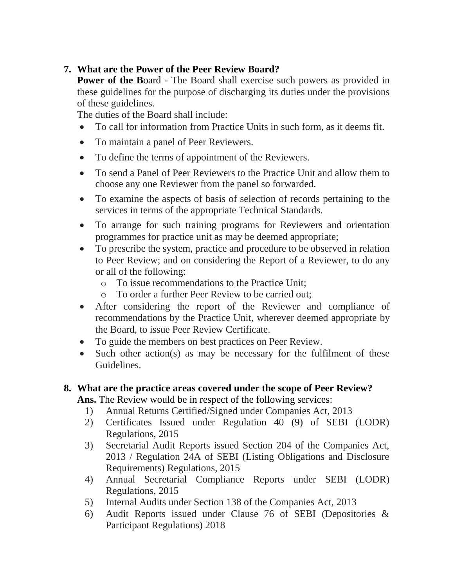# **7. What are the Power of the Peer Review Board?**

**Power of the Board - The Board shall exercise such powers as provided in** these guidelines for the purpose of discharging its duties under the provisions of these guidelines.

The duties of the Board shall include:

- To call for information from Practice Units in such form, as it deems fit.
- To maintain a panel of Peer Reviewers.
- To define the terms of appointment of the Reviewers.
- To send a Panel of Peer Reviewers to the Practice Unit and allow them to choose any one Reviewer from the panel so forwarded.
- To examine the aspects of basis of selection of records pertaining to the services in terms of the appropriate Technical Standards.
- To arrange for such training programs for Reviewers and orientation programmes for practice unit as may be deemed appropriate;
- To prescribe the system, practice and procedure to be observed in relation to Peer Review; and on considering the Report of a Reviewer, to do any or all of the following:
	- o To issue recommendations to the Practice Unit;
	- o To order a further Peer Review to be carried out;
- After considering the report of the Reviewer and compliance of recommendations by the Practice Unit, wherever deemed appropriate by the Board, to issue Peer Review Certificate.
- To guide the members on best practices on Peer Review.
- Such other action(s) as may be necessary for the fulfilment of these Guidelines.

#### **8. What are the practice areas covered under the scope of Peer Review? Ans.** The Review would be in respect of the following services:

- 1) Annual Returns Certified/Signed under Companies Act, 2013
- 2) Certificates Issued under Regulation 40 (9) of SEBI (LODR) Regulations, 2015
- 3) Secretarial Audit Reports issued Section 204 of the Companies Act, 2013 / Regulation 24A of SEBI (Listing Obligations and Disclosure Requirements) Regulations, 2015
- 4) Annual Secretarial Compliance Reports under SEBI (LODR) Regulations, 2015
- 5) Internal Audits under Section 138 of the Companies Act, 2013
- 6) Audit Reports issued under Clause 76 of SEBI (Depositories & Participant Regulations) 2018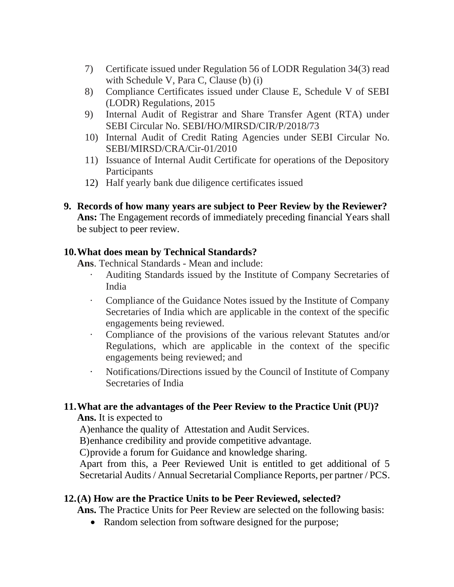- 7) Certificate issued under Regulation 56 of LODR Regulation 34(3) read with Schedule V, Para C, Clause (b) (i)
- 8) Compliance Certificates issued under Clause E, Schedule V of SEBI (LODR) Regulations, 2015
- 9) Internal Audit of Registrar and Share Transfer Agent (RTA) under SEBI Circular No. SEBI/HO/MIRSD/CIR/P/2018/73
- 10) Internal Audit of Credit Rating Agencies under SEBI Circular No. SEBI/MIRSD/CRA/Cir-01/2010
- 11) Issuance of Internal Audit Certificate for operations of the Depository Participants
- 12) Half yearly bank due diligence certificates issued
- **9. Records of how many years are subject to Peer Review by the Reviewer? Ans:** The Engagement records of immediately preceding financial Years shall be subject to peer review.

#### **10.What does mean by Technical Standards?**

**Ans**. Technical Standards - Mean and include:

- Auditing Standards issued by the Institute of Company Secretaries of India
- · Compliance of the Guidance Notes issued by the Institute of Company Secretaries of India which are applicable in the context of the specific engagements being reviewed.
- · Compliance of the provisions of the various relevant Statutes and/or Regulations, which are applicable in the context of the specific engagements being reviewed; and
- · Notifications/Directions issued by the Council of Institute of Company Secretaries of India

# **11.What are the advantages of the Peer Review to the Practice Unit (PU)?**

**Ans.** It is expected to

A)enhance the quality of Attestation and Audit Services.

B)enhance credibility and provide competitive advantage.

C)provide a forum for Guidance and knowledge sharing.

Apart from this, a Peer Reviewed Unit is entitled to get additional of 5 Secretarial Audits / Annual Secretarial Compliance Reports, per partner / PCS.

# **12.(A) How are the Practice Units to be Peer Reviewed, selected?**

**Ans.** The Practice Units for Peer Review are selected on the following basis:

• Random selection from software designed for the purpose;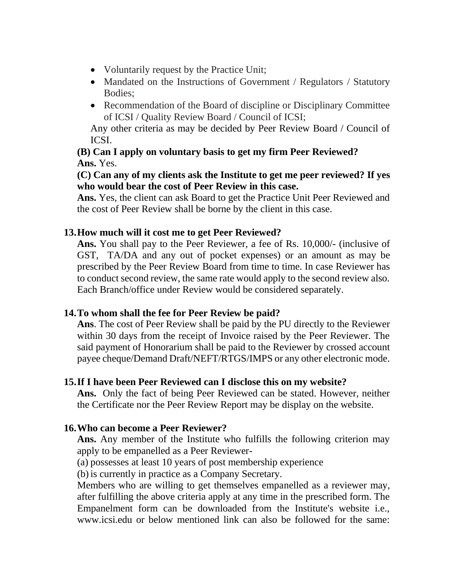- Voluntarily request by the Practice Unit;
- Mandated on the Instructions of Government / Regulators / Statutory Bodies;
- Recommendation of the Board of discipline or Disciplinary Committee of ICSI / Quality Review Board / Council of ICSI;

Any other criteria as may be decided by Peer Review Board / Council of ICSI.

# **(B) Can I apply on voluntary basis to get my firm Peer Reviewed? Ans.** Yes.

### **(C) Can any of my clients ask the Institute to get me peer reviewed? If yes who would bear the cost of Peer Review in this case.**

**Ans.** Yes, the client can ask Board to get the Practice Unit Peer Reviewed and the cost of Peer Review shall be borne by the client in this case.

# **13.How much will it cost me to get Peer Reviewed?**

**Ans.** You shall pay to the Peer Reviewer, a fee of Rs. 10,000/- (inclusive of GST, TA/DA and any out of pocket expenses) or an amount as may be prescribed by the Peer Review Board from time to time. In case Reviewer has to conduct second review, the same rate would apply to the second review also. Each Branch/office under Review would be considered separately.

# **14.To whom shall the fee for Peer Review be paid?**

**Ans**. The cost of Peer Review shall be paid by the PU directly to the Reviewer within 30 days from the receipt of Invoice raised by the Peer Reviewer. The said payment of Honorarium shall be paid to the Reviewer by crossed account payee cheque/Demand Draft/NEFT/RTGS/IMPS or any other electronic mode.

# **15.If I have been Peer Reviewed can I disclose this on my website?**

**Ans.** Only the fact of being Peer Reviewed can be stated. However, neither the Certificate nor the Peer Review Report may be display on the website.

# **16.Who can become a Peer Reviewer?**

**Ans.** Any member of the Institute who fulfills the following criterion may apply to be empanelled as a Peer Reviewer-

(a) possesses at least 10 years of post membership experience

(b)is currently in practice as a Company Secretary.

Members who are willing to get themselves empanelled as a reviewer may, after fulfilling the above criteria apply at any time in the prescribed form. The Empanelment form can be downloaded from the Institute's website i.e., www.icsi.edu or below mentioned link can also be followed for the same: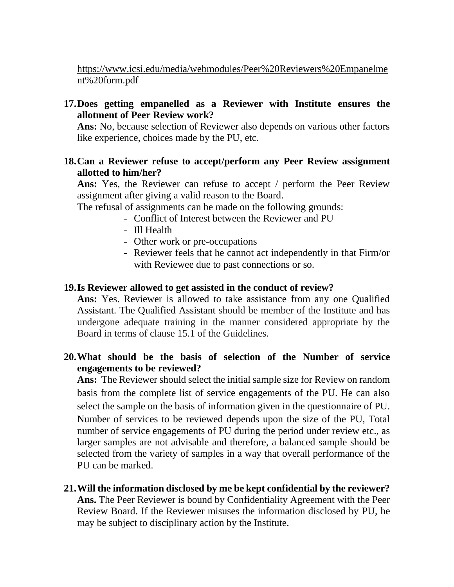[https://www.icsi.edu/media/webmodules/Peer%20Reviewers%20Empanelme](https://www.icsi.edu/media/webmodules/Peer%20Reviewers%20Empanelment%20form.pdf) [nt%20form.pdf](https://www.icsi.edu/media/webmodules/Peer%20Reviewers%20Empanelment%20form.pdf)

**17.Does getting empanelled as a Reviewer with Institute ensures the allotment of Peer Review work?**

**Ans:** No, because selection of Reviewer also depends on various other factors like experience, choices made by the PU, etc.

**18.Can a Reviewer refuse to accept/perform any Peer Review assignment allotted to him/her?**

Ans: Yes, the Reviewer can refuse to accept / perform the Peer Review assignment after giving a valid reason to the Board.

The refusal of assignments can be made on the following grounds:

- Conflict of Interest between the Reviewer and PU
- Ill Health
- Other work or pre-occupations
- Reviewer feels that he cannot act independently in that Firm/or with Reviewee due to past connections or so.

#### **19.Is Reviewer allowed to get assisted in the conduct of review?**

**Ans:** Yes. Reviewer is allowed to take assistance from any one Qualified Assistant. The Qualified Assistant should be member of the Institute and has undergone adequate training in the manner considered appropriate by the Board in terms of clause 15.1 of the Guidelines.

**20.What should be the basis of selection of the Number of service engagements to be reviewed?**

**Ans:** The Reviewer should select the initial sample size for Review on random basis from the complete list of service engagements of the PU. He can also select the sample on the basis of information given in the questionnaire of PU. Number of services to be reviewed depends upon the size of the PU, Total number of service engagements of PU during the period under review etc., as larger samples are not advisable and therefore, a balanced sample should be selected from the variety of samples in a way that overall performance of the PU can be marked.

**21.Will the information disclosed by me be kept confidential by the reviewer? Ans.** The Peer Reviewer is bound by Confidentiality Agreement with the Peer Review Board. If the Reviewer misuses the information disclosed by PU, he may be subject to disciplinary action by the Institute.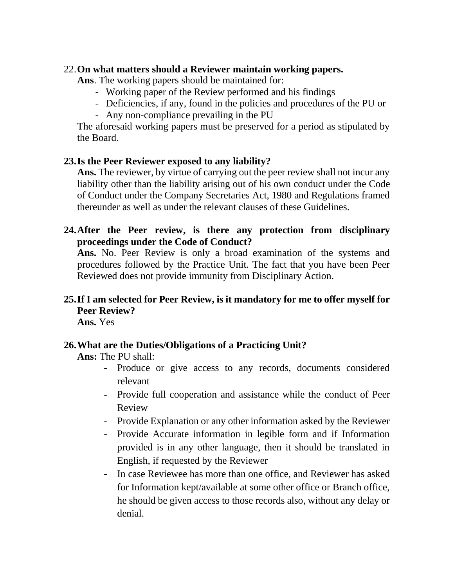#### 22.**On what matters should a Reviewer maintain working papers.**

**Ans**. The working papers should be maintained for:

- Working paper of the Review performed and his findings
- Deficiencies, if any, found in the policies and procedures of the PU or
- Any non-compliance prevailing in the PU

The aforesaid working papers must be preserved for a period as stipulated by the Board.

# **23.Is the Peer Reviewer exposed to any liability?**

**Ans.** The reviewer, by virtue of carrying out the peer review shall not incur any liability other than the liability arising out of his own conduct under the Code of Conduct under the Company Secretaries Act, 1980 and Regulations framed thereunder as well as under the relevant clauses of these Guidelines.

# **24.After the Peer review, is there any protection from disciplinary proceedings under the Code of Conduct?**

**Ans.** No. Peer Review is only a broad examination of the systems and procedures followed by the Practice Unit. The fact that you have been Peer Reviewed does not provide immunity from Disciplinary Action.

# **25.If I am selected for Peer Review, is it mandatory for me to offer myself for Peer Review?**

**Ans.** Yes

# **26.What are the Duties/Obligations of a Practicing Unit?**

**Ans:** The PU shall:

- Produce or give access to any records, documents considered relevant
- Provide full cooperation and assistance while the conduct of Peer Review
- Provide Explanation or any other information asked by the Reviewer
- Provide Accurate information in legible form and if Information provided is in any other language, then it should be translated in English, if requested by the Reviewer
- In case Reviewee has more than one office, and Reviewer has asked for Information kept/available at some other office or Branch office, he should be given access to those records also, without any delay or denial.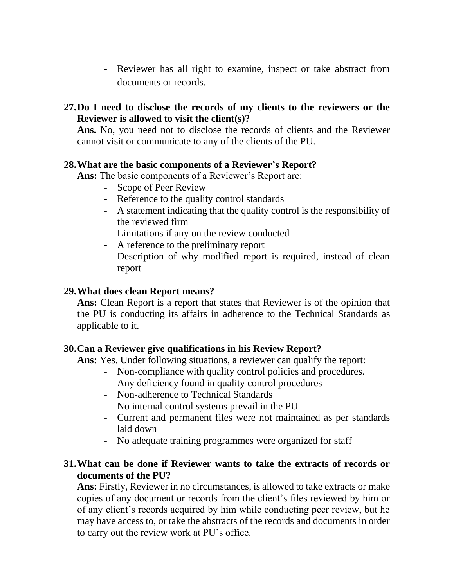- Reviewer has all right to examine, inspect or take abstract from documents or records.
- **27.Do I need to disclose the records of my clients to the reviewers or the Reviewer is allowed to visit the client(s)?**

**Ans.** No, you need not to disclose the records of clients and the Reviewer cannot visit or communicate to any of the clients of the PU.

#### **28.What are the basic components of a Reviewer's Report?**

**Ans:** The basic components of a Reviewer's Report are:

- Scope of Peer Review
- Reference to the quality control standards
- A statement indicating that the quality control is the responsibility of the reviewed firm
- Limitations if any on the review conducted
- A reference to the preliminary report
- Description of why modified report is required, instead of clean report

#### **29.What does clean Report means?**

**Ans:** Clean Report is a report that states that Reviewer is of the opinion that the PU is conducting its affairs in adherence to the Technical Standards as applicable to it.

# **30.Can a Reviewer give qualifications in his Review Report?**

**Ans:** Yes. Under following situations, a reviewer can qualify the report:

- Non-compliance with quality control policies and procedures.
- Any deficiency found in quality control procedures
- Non-adherence to Technical Standards
- No internal control systems prevail in the PU
- Current and permanent files were not maintained as per standards laid down
- No adequate training programmes were organized for staff

#### **31.What can be done if Reviewer wants to take the extracts of records or documents of the PU?**

**Ans:** Firstly, Reviewer in no circumstances, is allowed to take extracts or make copies of any document or records from the client's files reviewed by him or of any client's records acquired by him while conducting peer review, but he may have access to, or take the abstracts of the records and documents in order to carry out the review work at PU's office.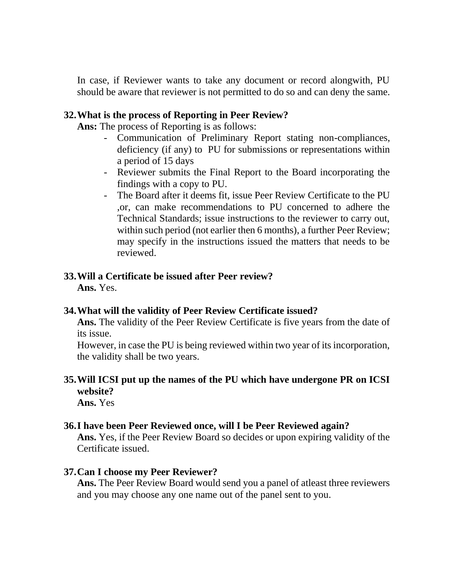In case, if Reviewer wants to take any document or record alongwith, PU should be aware that reviewer is not permitted to do so and can deny the same.

#### **32.What is the process of Reporting in Peer Review?**

**Ans:** The process of Reporting is as follows:

- Communication of Preliminary Report stating non-compliances, deficiency (if any) to PU for submissions or representations within a period of 15 days
- Reviewer submits the Final Report to the Board incorporating the findings with a copy to PU.
- The Board after it deems fit, issue Peer Review Certificate to the PU ,or, can make recommendations to PU concerned to adhere the Technical Standards; issue instructions to the reviewer to carry out, within such period (not earlier then 6 months), a further Peer Review; may specify in the instructions issued the matters that needs to be reviewed.

# **33.Will a Certificate be issued after Peer review?**

**Ans.** Yes.

# **34.What will the validity of Peer Review Certificate issued?**

**Ans.** The validity of the Peer Review Certificate is five years from the date of its issue.

However, in case the PU is being reviewed within two year of its incorporation, the validity shall be two years.

# **35.Will ICSI put up the names of the PU which have undergone PR on ICSI website?**

**Ans.** Yes

# **36.I have been Peer Reviewed once, will I be Peer Reviewed again?**

**Ans.** Yes, if the Peer Review Board so decides or upon expiring validity of the Certificate issued.

# **37.Can I choose my Peer Reviewer?**

**Ans.** The Peer Review Board would send you a panel of atleast three reviewers and you may choose any one name out of the panel sent to you.